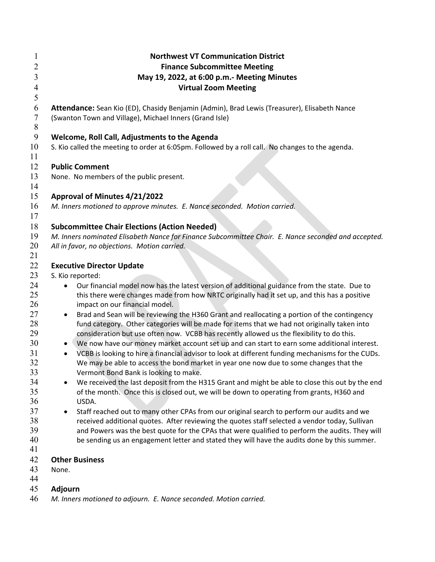| 1                    | <b>Northwest VT Communication District</b>                                                                                                                                                   |
|----------------------|----------------------------------------------------------------------------------------------------------------------------------------------------------------------------------------------|
| $\overline{2}$       | <b>Finance Subcommittee Meeting</b>                                                                                                                                                          |
| 3                    | May 19, 2022, at 6:00 p.m.- Meeting Minutes                                                                                                                                                  |
| 4                    | <b>Virtual Zoom Meeting</b>                                                                                                                                                                  |
| 5                    |                                                                                                                                                                                              |
| 6                    | Attendance: Sean Kio (ED), Chasidy Benjamin (Admin), Brad Lewis (Treasurer), Elisabeth Nance                                                                                                 |
| $\sqrt{ }$<br>$\, 8$ | (Swanton Town and Village), Michael Inners (Grand Isle)                                                                                                                                      |
| 9                    | Welcome, Roll Call, Adjustments to the Agenda                                                                                                                                                |
| 10                   | S. Kio called the meeting to order at 6:05pm. Followed by a roll call. No changes to the agenda.                                                                                             |
| 11                   |                                                                                                                                                                                              |
| 12                   | <b>Public Comment</b>                                                                                                                                                                        |
| 13                   | None. No members of the public present.                                                                                                                                                      |
| 14                   |                                                                                                                                                                                              |
| 15                   | Approval of Minutes 4/21/2022                                                                                                                                                                |
| 16                   | M. Inners motioned to approve minutes. E. Nance seconded. Motion carried.                                                                                                                    |
| 17                   |                                                                                                                                                                                              |
| 18                   | <b>Subcommittee Chair Elections (Action Needed)</b>                                                                                                                                          |
| 19                   | M. Inners nominated Elisabeth Nance for Finance Subcommittee Chair. E. Nance seconded and accepted.                                                                                          |
| 20                   | All in favor, no objections. Motion carried.                                                                                                                                                 |
| 21                   |                                                                                                                                                                                              |
| 22                   | <b>Executive Director Update</b>                                                                                                                                                             |
| 23                   | S. Kio reported:                                                                                                                                                                             |
| 24                   | Our financial model now has the latest version of additional guidance from the state. Due to                                                                                                 |
| 25                   | this there were changes made from how NRTC originally had it set up, and this has a positive                                                                                                 |
| 26                   | impact on our financial model.                                                                                                                                                               |
| 27                   | Brad and Sean will be reviewing the H360 Grant and reallocating a portion of the contingency                                                                                                 |
| 28                   | fund category. Other categories will be made for items that we had not originally taken into                                                                                                 |
| 29                   | consideration but use often now. VCBB has recently allowed us the flexibility to do this.                                                                                                    |
| 30                   | We now have our money market account set up and can start to earn some additional interest.                                                                                                  |
| 31                   | VCBB is looking to hire a financial advisor to look at different funding mechanisms for the CUDs.                                                                                            |
| 32                   | We may be able to access the bond market in year one now due to some changes that the                                                                                                        |
| 33<br>34             | Vermont Bond Bank is looking to make.                                                                                                                                                        |
| 35                   | We received the last deposit from the H315 Grant and might be able to close this out by the end<br>of the month. Once this is closed out, we will be down to operating from grants, H360 and |
| 36                   | USDA.                                                                                                                                                                                        |
| 37                   | Staff reached out to many other CPAs from our original search to perform our audits and we                                                                                                   |
| 38                   | received additional quotes. After reviewing the quotes staff selected a vendor today, Sullivan                                                                                               |
| 39                   | and Powers was the best quote for the CPAs that were qualified to perform the audits. They will                                                                                              |
| 40                   | be sending us an engagement letter and stated they will have the audits done by this summer.                                                                                                 |
| 41                   |                                                                                                                                                                                              |
| 42                   | <b>Other Business</b>                                                                                                                                                                        |
| 43                   | None.                                                                                                                                                                                        |
| 44                   |                                                                                                                                                                                              |
| 45                   | <b>Adjourn</b>                                                                                                                                                                               |
| 46                   | M. Inners motioned to adjourn. E. Nance seconded. Motion carried.                                                                                                                            |